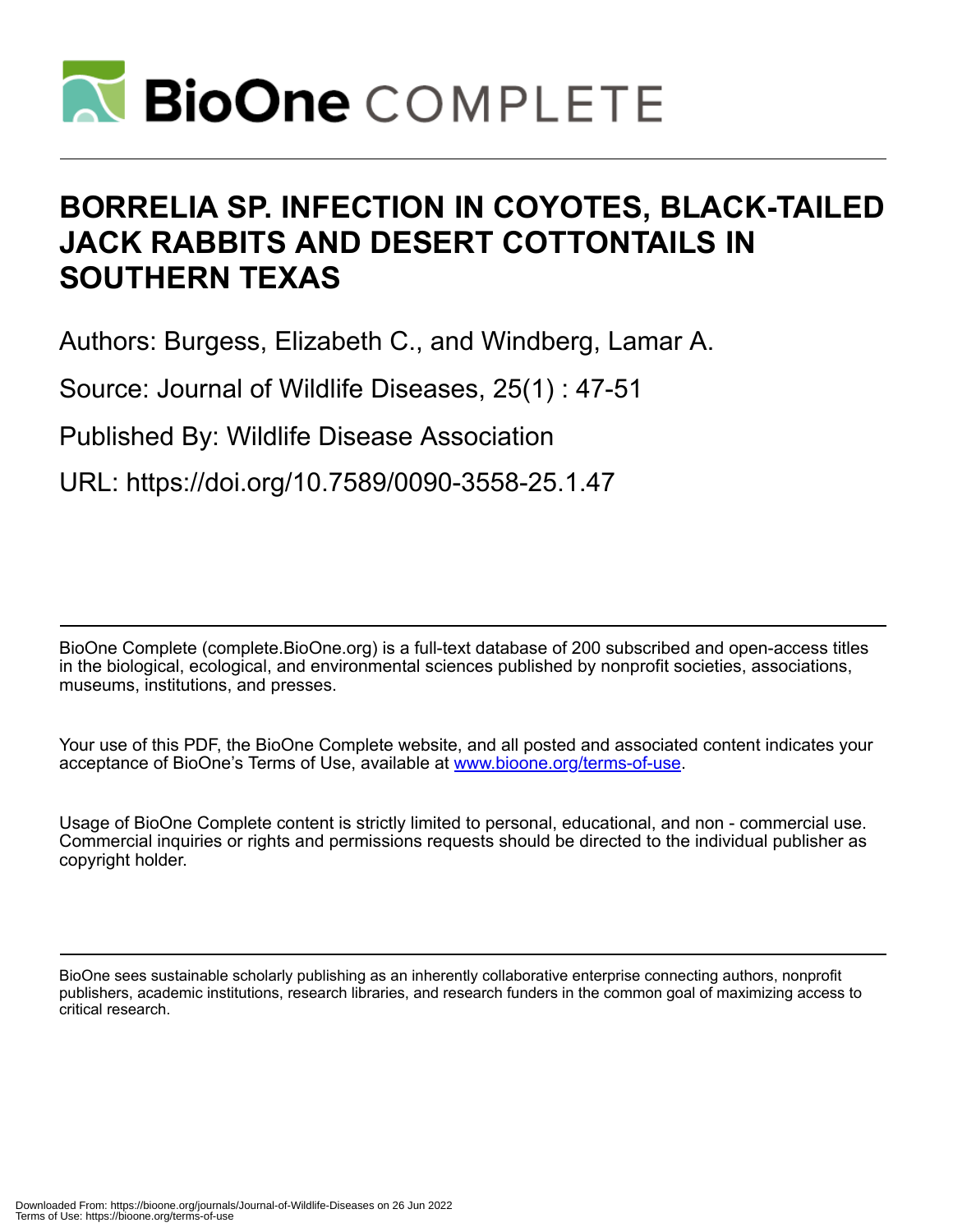

# **BORRELIA SP. INFECTION IN COYOTES, BLACK-TAILED JACK RABBITS AND DESERT COTTONTAILS IN SOUTHERN TEXAS**

Authors: Burgess, Elizabeth C., and Windberg, Lamar A.

Source: Journal of Wildlife Diseases, 25(1) : 47-51

Published By: Wildlife Disease Association

URL: https://doi.org/10.7589/0090-3558-25.1.47

BioOne Complete (complete.BioOne.org) is a full-text database of 200 subscribed and open-access titles in the biological, ecological, and environmental sciences published by nonprofit societies, associations, museums, institutions, and presses.

Your use of this PDF, the BioOne Complete website, and all posted and associated content indicates your acceptance of BioOne's Terms of Use, available at www.bioone.org/terms-of-use.

Usage of BioOne Complete content is strictly limited to personal, educational, and non - commercial use. Commercial inquiries or rights and permissions requests should be directed to the individual publisher as copyright holder.

BioOne sees sustainable scholarly publishing as an inherently collaborative enterprise connecting authors, nonprofit publishers, academic institutions, research libraries, and research funders in the common goal of maximizing access to critical research.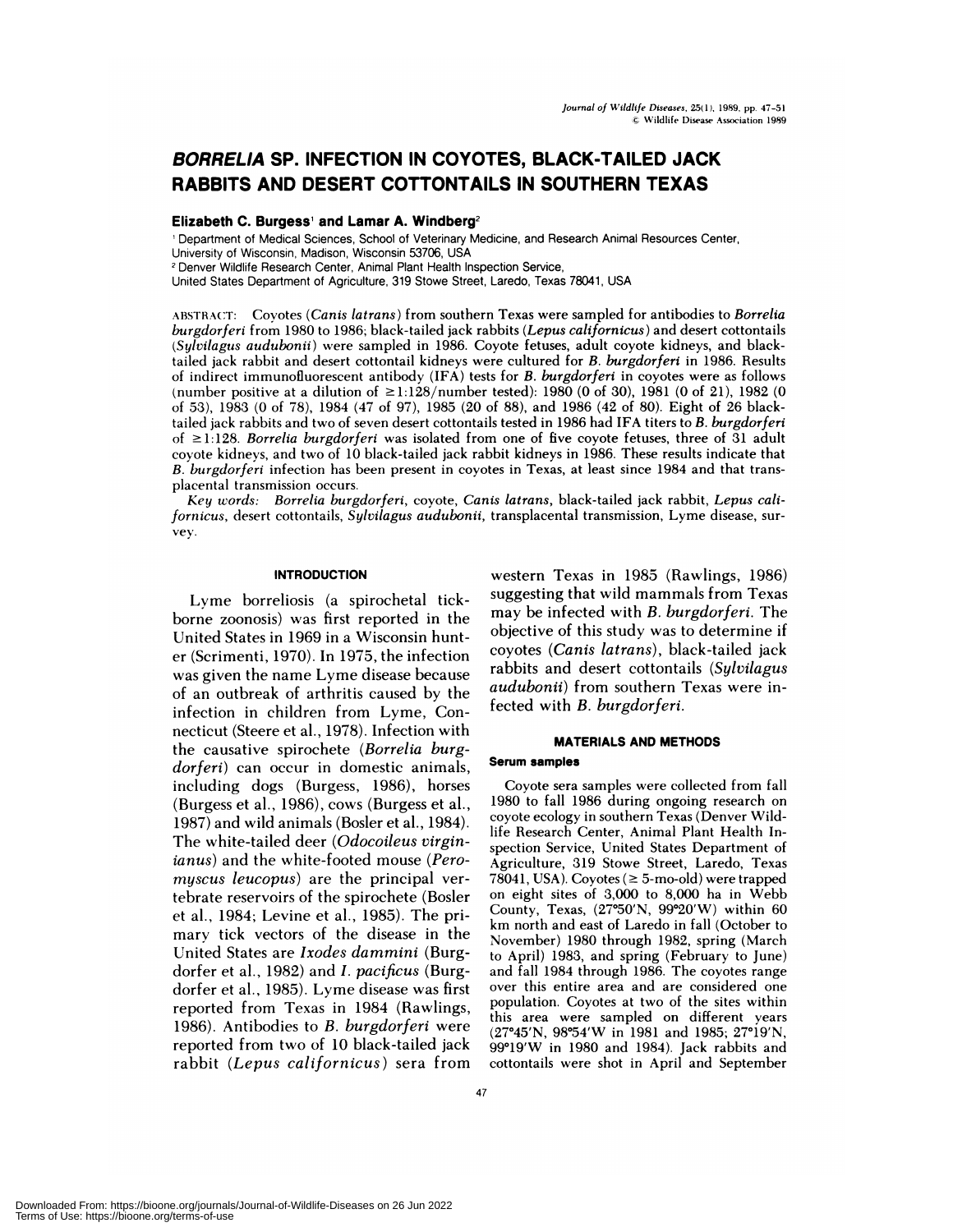# **BORRELIA SP. INFECTION IN COYOTES, BLACK-TAILED JACK RABBITS AND DESERT COTTONTAILS IN SOUTHERN TEXAS**

# **Elizabeth C. Burgess and Lamar A. Windberg2**

<sup>1</sup> Department of Medical Sciences, School of Veterinary Medicine, and Research Animal Resources Center, University of Wisconsin, Madison, Wisconsin 53706, USA

**<sup>2</sup>** Denver Wildlife Research Center, Animal Plant Health Inspection Service,

United States Department of Agriculture, 319 Stowe Street, Laredo, Texas 78041, USA

ABSTRACT: Coyotes *(Canis latrans)* from southern Texas were sampled for antibodies to *Borrelia burgdorferi* from 1980 to 1986; black-tailed jack rabbits *(Lepus californicus)* and desert cottontails *(Sylvilagus audubonii)* were sampled in 1986. Coyote fetuses, adult coyote kidneys, and blacktailed jack rabbit and desert cottontail kidneys were cultured for *B. burgdorferi* in 1986. Results of indirect immunofluorescent antibody (IFA) tests for *B. burgdorferi* in coyotes were as follows (number positive at a dilution of  $\geq$ 1:128/number tested): 1980 (0 of 30), 1981 (0 of 21), 1982 (0 of 53), 1983 (0 of 78), 1984 (47 of 97), 1985 (20 of 88), and 1986 (42 of 80). Eight of 26 blacktailed jack rabbits and two of seven desert cottontails tested in 1986 had **IFA titers** to *B. burgdorferi* of 1:128. *Borrelia burgdorferi* was isolated from one of five coyote fetuses, three of 31 adult coyote kidneys, and two of 10 black-tailed jack rabbit kidneys in 1986. These results indicate that *B. burgdorferi* infection has been present in coyotes in Texas, at least since 1984 and that trans placental transmission occurs.

*Key words: Borrelia burgdorferi,* coyote, *Canis latrans,* black-tailed jack rabbit, *Lepus californ icus,* desert cottontails, *Sylvilagus audubonii,* transplacental transmission, Lyme disease, sur vey.

#### **INTRODUCTION**

Lyme borreliosis (a spirochetal tickborne zoonosis) was first reported in the United States in 1969 in a Wisconsin hunt er (Scrimenti, 1970). In 1975, the infection was given the name Lyme disease because of an outbreak of arthritis caused by the infection in children from Lyme, Connecticut (Steere et al., 1978). Infection with the causative spirochete *(Borrelia burgdorferi)* can occur in domestic animals, including dogs (Burgess, 1986), horses (Burgess et al., 1986), cows (Burgess et al., 1987) and wild animals (Bosler et al., 1984). The white-tailed deer *(Odocoileus virginjanus)* and the white-footed mouse *(Peromyscus leucopus*) are the principal vertebrate reservoirs of the spirochete (Bosler et al., 1984; Levine et al., 1985). The primary tick vectors of the disease in the United States are *Ixodes darnrnini* (Burgdorfer et al., 1982) and *I. pacificus* (Burgdorfer et a!., 1985). Lyme disease was first reported from Texas in 1984 (Rawlings, 1986). Antibodies to *B. burgdorferi* were reported from two of 10 black-tailed jack rabbit *(Lepus californicus)* sera from

western Texas in 1985 (Rawlings, 1986) suggesting that wild mammals from Texas may be infected with *B. burgdorferi.* The objective of this study was to determine if coyotes *(Canis latrans),* black-tailed jack rabbits and desert cottontails *(Sylvilagus audubonii)* from southern Texas were infected with *B. burgdorferi.*

# **MATERIALS AND METHODS**

#### **Serum samples**

Coyote sera samples were collected from fall 1980 to fall 1986 during ongoing research on coyote ecology in southern Texas (Denver Wildlife Research Center, Animal Plant Health Inspection Service, United States Department of Agriculture, 319 Stowe Street, Laredo, Texas 78041, USA). Coyotes ( $\geq$  5-mo-old) were trapped on eight sites of 3,000 to 8,000 ha in Webb County, Texas, (27°50'N, 99°20'W) within 60 km north and east of Laredo in fall (October to November) 1980 through 1982, spring (March to April) 1983, and spring (February to June) and fall 1984 through 1986. The coyotes range over this entire area and are considered one population. Coyotes at two of the sites within this area were sampled on different years (27°45'N, 98°54'W in 1981 and 1985; 27°19'N,  $99^{\circ}19'W$  in 1980 and 1984). Jack rabbits and cottontails were shot in April and September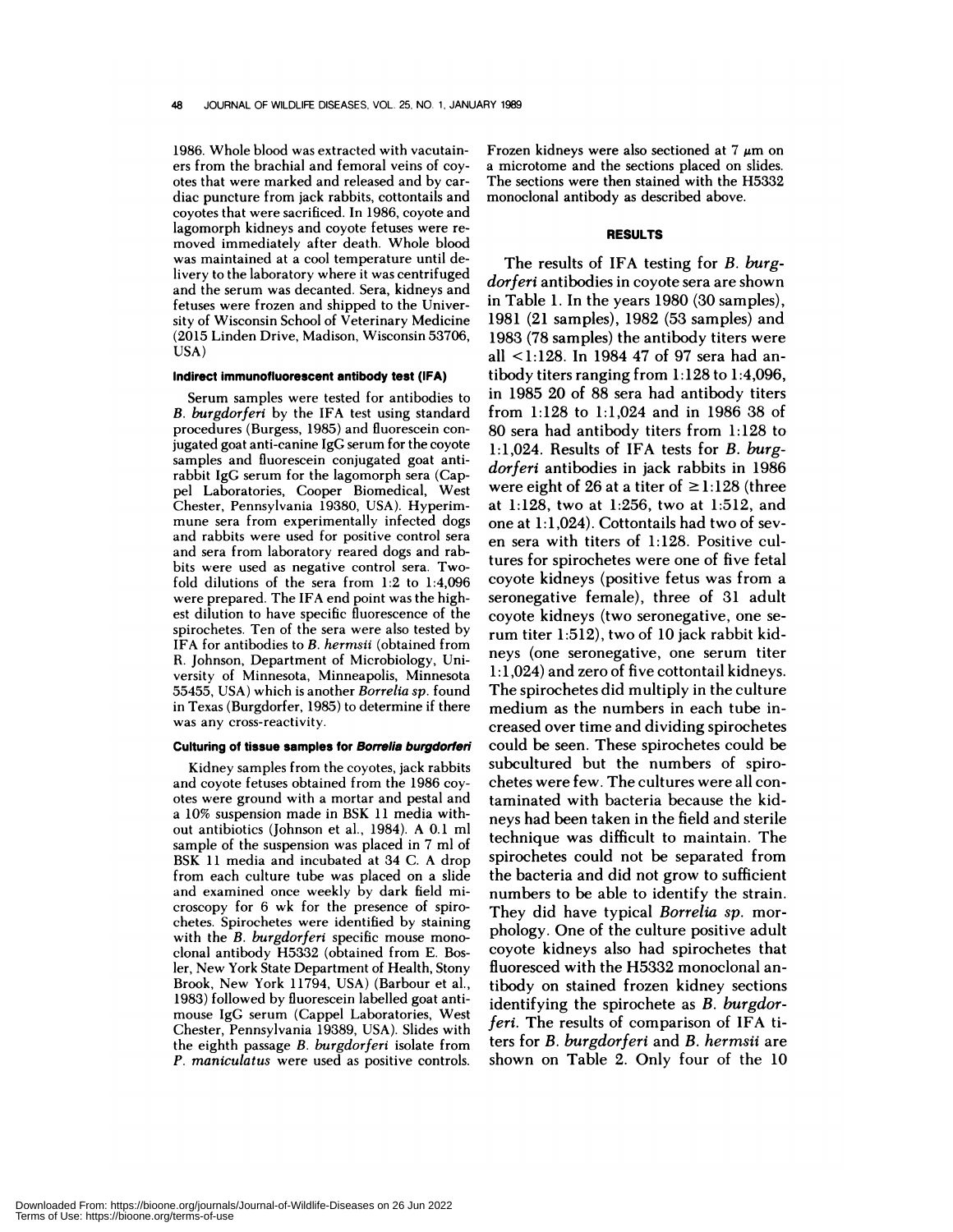1986. Whole blood was extracted with vacutain ers from the brachial and femoral veins of covotes that were marked and released and by car diac puncture from jack rabbits, cottontails and coyotes that were sacrificed. In 1986, coyote and **lagomorph** kidneys and coyote fetuses were re moved immediately after death. Whole blood was maintained at a cool temperature until delivery to the laboratory where it was centrifuged and the serum was decanted. Sera, kidneys and fetuses were frozen and shipped to the University of Wisconsin School of Veterinary Medicine (2015 Linden Drive, Madison, Wisconsin 53706, USA)

#### **Indirect immunofluorescent antibody test (IFA)**

Serum samples were tested for antibodies to *B. burgdorferi* by the IFA test using standard procedures (Burgess, 1985) and fluorescein conjugated goat anti-canine IgG serum for the coyote samples and fluorescein conjugated goat antirabbit IgG serum for the lagomorph sera (Cappel Laboratories, Cooper Biomedical, West Chester, Pennsylvania 19380, USA). Hyperim mune sera from experimentally infected dogs and rabbits were used for positive control sera and sera from laboratory reared dogs and rab bits were used as negative control sera. Twofold dilutions of the sera from 1:2 to 1:4,096 were prepared. The IFA end point was the high est dilution to have specific fluorescence of the spirochetes. Ten of the sera were also tested by IFA for antibodies to *B. hermsii* (obtained from R. Johnson, Department of Microbiology, University of Minnesota, Minneapolis, Minnesota 55455, USA) which is another *Borrelia sp.* **found** in Texas (Burgdorfer, 1985) to determine if there was any cross-reactivity.

#### **Culturing of tissue samples for Borrelia burgdorferi**

Kidney samples from the coyotes, jack rabbits and coyote fetuses obtained from the 1986 coyotes were ground with a mortar and pestal and a 10% suspension made in BSK 11 media without antibiotics (Johnson et al., 1984). A 0.1 ml sample of the suspension was placed in 7 ml of BSK 11 media and incubated at 34 C. A drop from each culture tube was placed on a slide and examined once weekly by dark field mi croscopy for 6 wk for the presence of spiro chetes. Spirochetes were identified by staining with the *B. burgdorferi* specific mouse monoclonal antibody H5332 (obtained from E. Bosler, New York State Department of Health, Stony Brook, New York 11794, USA) (Barbour et al., 1983) followed by fluorescein labelled goat anti mouse IgG serum (Cappel Laboratories, West Chester, Pennsylvania 19389, USA). Slides with the eighth passage *B. burgdorferi* isolate from *P. maniculatus* were used as positive controls.

Frozen kidneys were also sectioned at  $7 \mu m$  on a microtome and the sections placed on slides. The sections were then stained with the H5332 **monoclonal** antibody as described above.

# **RESULTS**

The results of IFA testing for *B. burgdorferi* antibodies in coyote sera are shown in Table 1. In the years 1980 (30 samples), 1981 (21 samples), 1982 (53 samples) and 1983 (78 samples) the antibody titers were all <1:128. In 1984 47 of 97 sera had antibody titers ranging from 1:128 to 1:4,096, in 1985 20 of 88 sera had antibody titers from 1:128 to 1:1,024 and in 1986 38 of 80 sera had antibody titers from 1:128 to 1:1,024. Results of **IFA** tests for *B. burgdorferi* antibodies in jack rabbits in 1986 were eight of 26 at a titer of  $\geq$ 1:128 (three at  $1:128$ , two at  $1:256$ , two at  $1:512$ , and one at 1:1,024). Cottontails had two of sev en sera with titers of 1:128. Positive cultures for spirochetes were one of five fetal coyote kidneys (positive fetus was from a seronegative female), three of 31 adult coyote kidneys (two seronegative, one serum titer 1:512), two of 10 jack rabbit kidneys (one seronegative, one serum titer 1:1,024) and zero of five cottontail kidneys. The spirochetes did multiply in the culture medium as the numbers in each tube increased over time and dividing spirochetes could be seen. These spirochetes could be subcultured but the numbers of spirochetes were few. The cultures were all contaminated with bacteria because the kidneys had been taken in the field and sterile technique was difficult to maintain. The spirochetes could not be separated from the bacteria and did not grow to sufficient numbers to be able to identify the strain. They did have typical *Borrelia sp.* mor phology. One of the culture positive adult coyote kidneys also had spirochetes that fluoresced with the H5332 monoclonal antibody on stained frozen kidney sections identifying the spirochete as *B. burgdorferi.* The results of comparison of IFA titers for *B. burgdorferi* and *B.hermsii* are shown on Table 2. Only four of the 10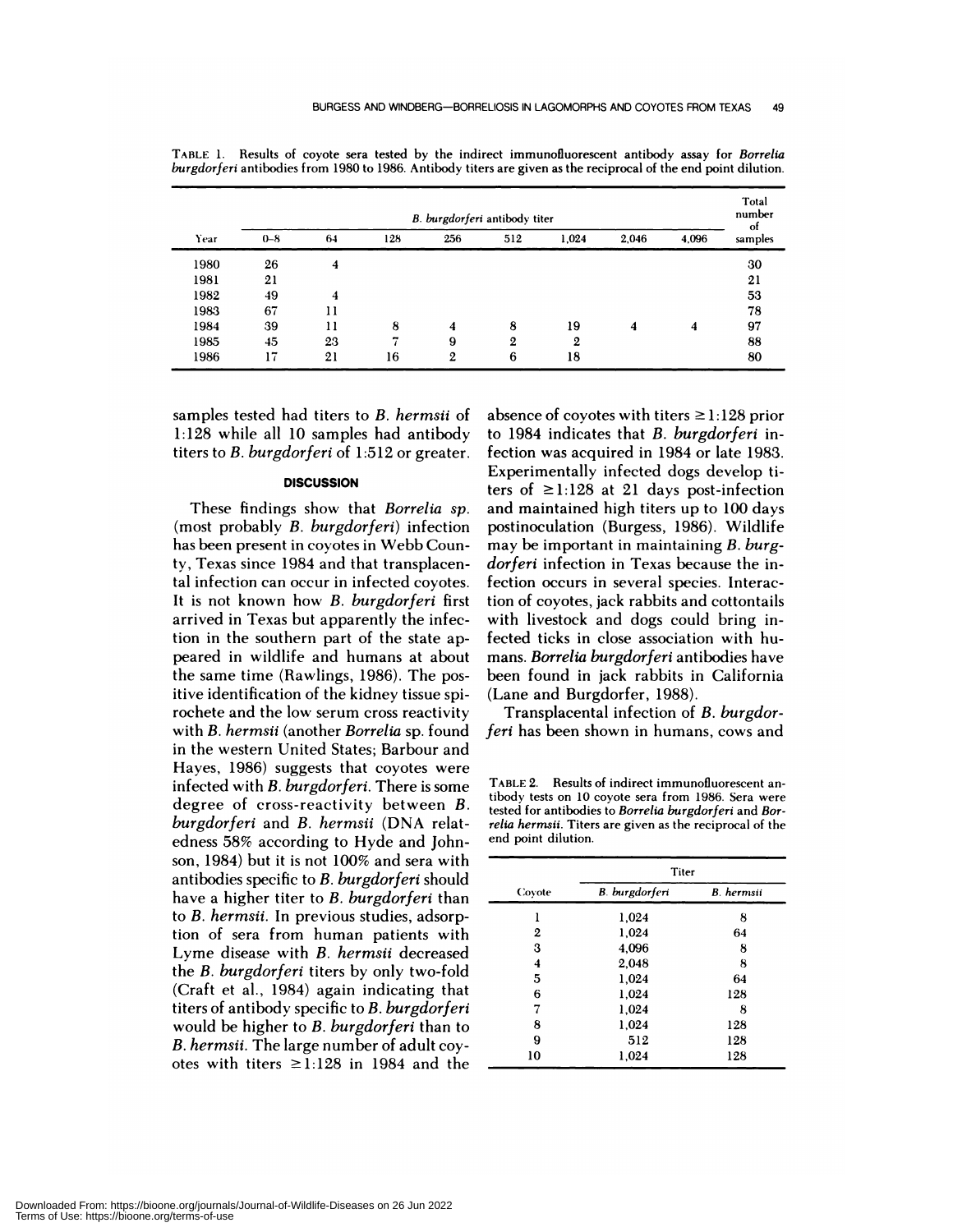|      | B. burgdorferi antibody titer |    |     |     |     |              |       |       | Total<br>number<br>-ot |
|------|-------------------------------|----|-----|-----|-----|--------------|-------|-------|------------------------|
| Year | $0 - 8$                       | 64 | 128 | 256 | 512 | 1,024        | 2,046 | 4,096 | samples                |
| 1980 | 26                            | 4  |     |     |     |              |       |       | 30                     |
| 1981 | 21                            |    |     |     |     |              |       |       | 21                     |
| 1982 | 49                            | 4  |     |     |     |              |       |       | 53                     |
| 1983 | 67                            | 11 |     |     |     |              |       |       | 78                     |
| 1984 | 39                            | 11 | 8   | 4   | 8   | 19           | 4     | 4     | 97                     |
| 1985 | 45                            | 23 | ÷   | 9   | 2   | $\mathbf{2}$ |       |       | 88                     |
| 1986 | 17                            | 21 | 16  | 2   | 6   | 18           |       |       | 80                     |

TABLE 1.Results of coyote sera tested by the indirect immunofluorescent antibody assay for *Borrelia burgdorferi* antibodies from 1980 to 1986. Antibody titers are given as the reciprocal of the end point dilution.

samples tested had titers to *B. hermsii* of 1:128 while all 10 samples had antibody **titers** to *B. burgdorferi* of 1:512 or greater.

# **DISCUSSION**

**These findings** show that*Borrelia sp.* (most probably *B. burgdorferi)* infection has been present in coyotes in Webb Coun**ty, Texas** since 1984 and that transplacental infection can occur in infected coyotes. It is not known how *B. burgdorferi* first **arrived** in Texas but apparently the infection in the southern part of the state appeared in wildlife and humans at about the same time (Rawlings, 1986). The positive identification of the kidney tissue spirochete and the low serum cross reactivity with *B.hermsii* (another *Borrelia* sp. found **in** the western United States; Barbour and **Hayes, 1986)** suggests that coyotes were **infected** with *B. burgdorferi.* There is some degree of cross-reactivity **between** *B. burgdorferi* and *B. hermsii* (DNA relatedness 58% according to Hyde and Johnson, 1984) but it is not 100% and sera with antibodies specific to *B. burgdorferi* should have a higher titer to *B. burgdorferi* than to *B. hermsii.* In previous studies, adsorption of sera from human patients with Lyme disease with *B. hermsii* decreased the *B. burgdorferi* titers by only two-fold (Craft et al., 1984) again indicating that titers of antibody specific to *B. burgdorferi* would be higher to *B. burgdorferi* than to *B. hermsii.* The large number of adult coyotes with titers  $\geq 1:128$  in 1984 and the absence of coyotes with titers  $\geq 1:128$  prior **to** 1984 indicates that *B. burgdorferi* infection was acquired in **1984 or late 1983.** Experimentally infected dogs develop titers of  $\geq$ 1:128 at 21 days post-infection and maintained high titers up to 100 days **postinoculation (Burgess,** 1986). Wildlife may be important in maintaining *B. burgdorferi* infection in Texas because the infection occurs in several species. Interaction of coyotes, jack rabbits and cottontails with livestock and dogs could bring infected ticks in close association with hu mans. *Borrelia burgdorferi* antibodies have been found in jack rabbits in California (Lane and Burgdorfer, 1988).

Transplacental infection of *B. burgdorferi* has been shown in humans, cows and

TABLE 2. Results of indirect immunofluorescent antibody tests on 10 coyote sera from 1986. Sera were tested for antibodies to *Borrelia burgdorferi* and *Borrelia herrnsii.* Titers are given as the reciprocal of the end point dilution.

|        | Titer                 |                   |  |  |  |
|--------|-----------------------|-------------------|--|--|--|
| Covote | <b>B.</b> burgdorferi | <b>B.</b> hermsii |  |  |  |
|        | 1,024                 | 8                 |  |  |  |
| 2      | 1,024                 | 64                |  |  |  |
| 3      | 4,096                 | 8                 |  |  |  |
| 4      | 2,048                 | 8                 |  |  |  |
| 5      | 1,024                 | 64                |  |  |  |
| 6      | 1,024                 | 128               |  |  |  |
| 7      | 1,024                 | 8                 |  |  |  |
| 8      | 1,024                 | 128               |  |  |  |
| 9      | 512                   | 128               |  |  |  |
| 10     | 1,024                 | 128               |  |  |  |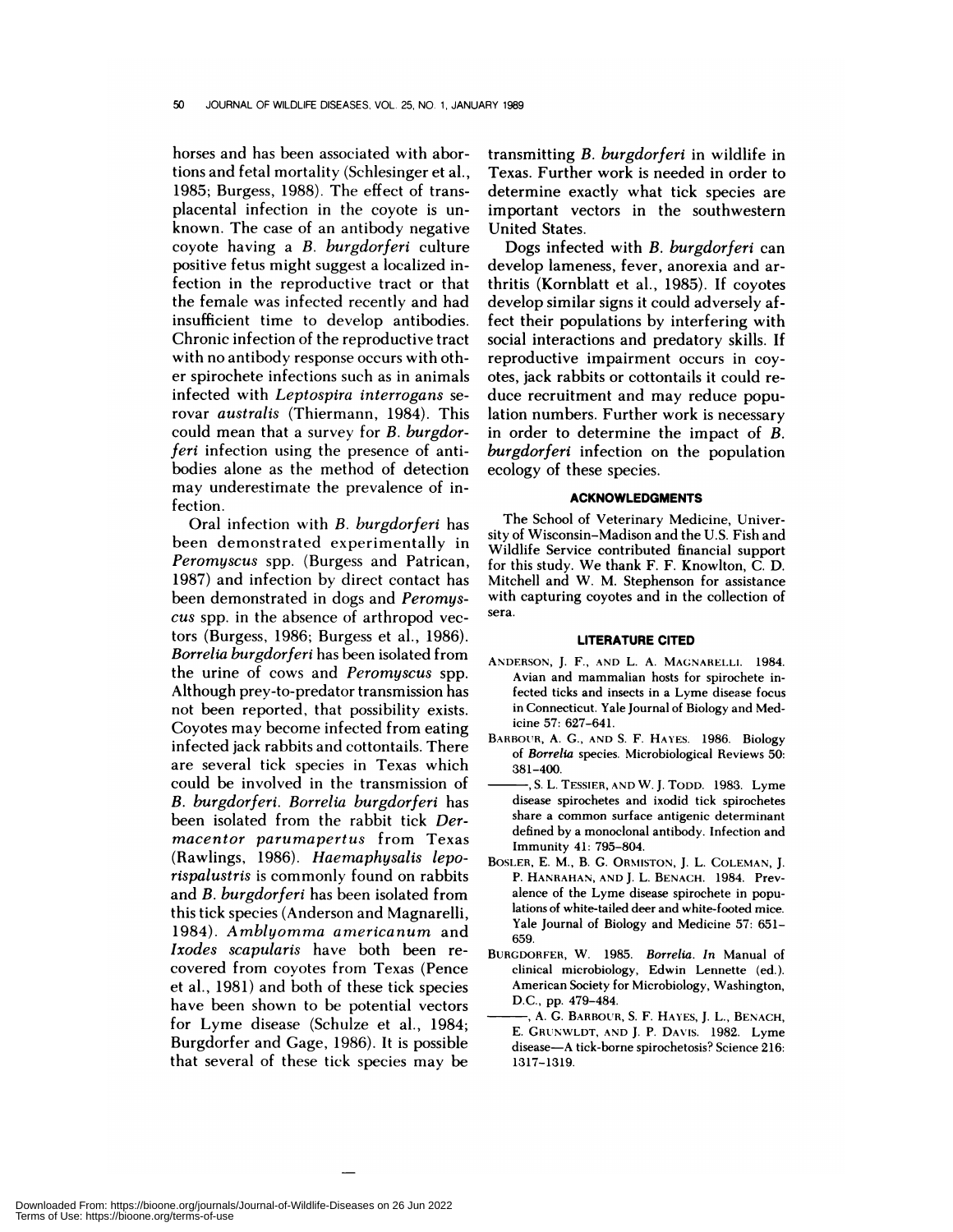**horses and has** been associated with abor**tions and fetal mortality (Schlesinger** et al., 1985; Burgess, 1988). The effect of transplacental infection in the coyote is un known. The case of an antibody negative coyote having a *B. burgdorferi* culture positive fetus might suggest a localized infection in the reproductive tract or that the female was infected recently and had insufficient time to develop antibodies. Chronic infection of the reproductive tract with no antibody response occurs with oth er spirochete infections such as in animals infected with *Leptospira interrogans* se rovar *australis* (Thiermann, 1984). This could mean that a survey for *B. burgdorferi* infection using the presence of antibodies alone as the method of detection may underestimate the prevalence of infection.

Oral infection with *B. burgdorferi* has been demonstrated experimentally in *Peromyscus* spp. (Burgess and Patrican, 1987) and infection by direct contact has been demonstrated in dogs and *Peromys cus* spp. in the absence of arthropod vectors (Burgess, 1986; Burgess et al., 1986). *Borrelia burgdorferi* has been isolated from the urine of cows and *Peromyscus* spp. Although prey-to-predator transmission has not been reported, that possibility exists. Coyotes may become infected from eating infected jack rabbits and cottontails. There are several tick species in Texas which could be involved in the transmission of *B. burgdorferi. Borrelia burgdorferi* has been isolated from the rabbit tick *Der macentor parumapertus* from Texas (Rawlings, 1986). *Haemaphysalis leporispalustris* is commonly found on rabbits and *B. burgdorferi* has been isolated from this tick species (Anderson and Magnarelli, 1984). *Amblyomma americanum* and *Ixodes scapularis* have both been re covered from coyotes from Texas (Pence et al., 1981) and both of these tick species have been shown to be potential vectors for Lyme disease (Schulze et al., 1984; Burgdorfer and Gage, 1986). It is possible that several of these tick species may be

transmitting *B. burgdorferi* in wildlife in Texas. Further work is needed in order to determine exactly what tick species are important vectors in the southwestern United States.

Dogs infected with *B. burgdorferi* can develop lameness, fever, anorexia and arthritis (Kornblatt et al., 1985). If coyotes develop similar signs it could adversely affect their populations by interfering with social interactions and predatory skills. If reproductive impairment occurs in coyotes, jack rabbits or cottontails it could re duce recruitment and may reduce population numbers. Further work is necessary in order to determine the impact of *B. burgdorferi* infection on the population ecology of these species.

# **ACKNOWLEDGMENTS**

The School of Veterinary Medicine, University of Wisconsin-Madison and the U.S. Fish and Wildlife Service contributed financial support for this study. We thank F. F. Knowlton, C. D. Mitchell and W. M. Stephenson for assistance with capturing coyotes and in the collection of sera.

#### **LITERATURE CITED**

- ANDERSON, J. F., AND L. A. MAGNARELLI. 1984. Avian and mammalian hosts for spirochete infected ticks and insects in a Lyme disease focus in Connecticut. Yale Journal of Biology and Medicine 57: 627-641.
- BARBOUR, A. C., AND S. F. HAYES. 1986. Biology of *Borrelia* species. Microbiological Reviews 50: 381-400.
- S. L. TESSIER, AND W. J. TODD. 1983. Lyme disease spirochetes and ixodid tick spirochetes share a common surface antigenic determinant defined by a monoclonal antibody. Infection and Immunity 41: 795-804.
- BOSLER, E. M., B. C. ORMISTON, J. L. COLEMAN, J. P. HANRAHAN, AND J. L. BENACH. 1984. Prevalence of the Lyme disease spirochete in populations of white-tailed deer and white-footed mice. Yale Journal of Biology and Medicine 57: 651- 659.
- BURGDORFER, W. 1985. *Borrelia. In* Manual of clinical microbiology, Edwin Lennette (ed). American Society for Microbiology, Washington, D.C., pp. 479-484.
- A. C. BARBOUR, S. F. HAYES, J. L., BENACH, E. CRUNWLDT, AND J. P. DAVIS. 1982. Lyme disease-A tick-borne spirochetosis? Science 216: 1317-1319.